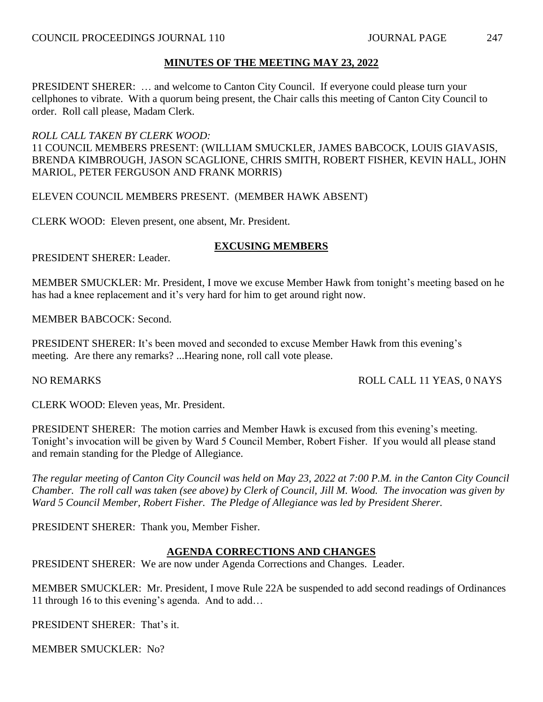PRESIDENT SHERER: … and welcome to Canton City Council. If everyone could please turn your cellphones to vibrate. With a quorum being present, the Chair calls this meeting of Canton City Council to order. Roll call please, Madam Clerk.

# *ROLL CALL TAKEN BY CLERK WOOD:*

11 COUNCIL MEMBERS PRESENT: (WILLIAM SMUCKLER, JAMES BABCOCK, LOUIS GIAVASIS, BRENDA KIMBROUGH, JASON SCAGLIONE, CHRIS SMITH, ROBERT FISHER, KEVIN HALL, JOHN MARIOL, PETER FERGUSON AND FRANK MORRIS)

ELEVEN COUNCIL MEMBERS PRESENT. (MEMBER HAWK ABSENT)

CLERK WOOD: Eleven present, one absent, Mr. President.

# **EXCUSING MEMBERS**

PRESIDENT SHERER: Leader.

MEMBER SMUCKLER: Mr. President, I move we excuse Member Hawk from tonight's meeting based on he has had a knee replacement and it's very hard for him to get around right now.

MEMBER BABCOCK: Second.

PRESIDENT SHERER: It's been moved and seconded to excuse Member Hawk from this evening's meeting. Are there any remarks? ...Hearing none, roll call vote please.

# NO REMARKS ROLL CALL 11 YEAS, 0 NAYS

CLERK WOOD: Eleven yeas, Mr. President.

PRESIDENT SHERER: The motion carries and Member Hawk is excused from this evening's meeting. Tonight's invocation will be given by Ward 5 Council Member, Robert Fisher. If you would all please stand and remain standing for the Pledge of Allegiance.

*The regular meeting of Canton City Council was held on May 23, 2022 at 7:00 P.M. in the Canton City Council Chamber. The roll call was taken (see above) by Clerk of Council, Jill M. Wood. The invocation was given by Ward 5 Council Member, Robert Fisher. The Pledge of Allegiance was led by President Sherer.*

PRESIDENT SHERER: Thank you, Member Fisher.

# **AGENDA CORRECTIONS AND CHANGES**

PRESIDENT SHERER: We are now under Agenda Corrections and Changes. Leader.

MEMBER SMUCKLER: Mr. President, I move Rule 22A be suspended to add second readings of Ordinances 11 through 16 to this evening's agenda. And to add…

PRESIDENT SHERER: That's it.

MEMBER SMUCKLER: No?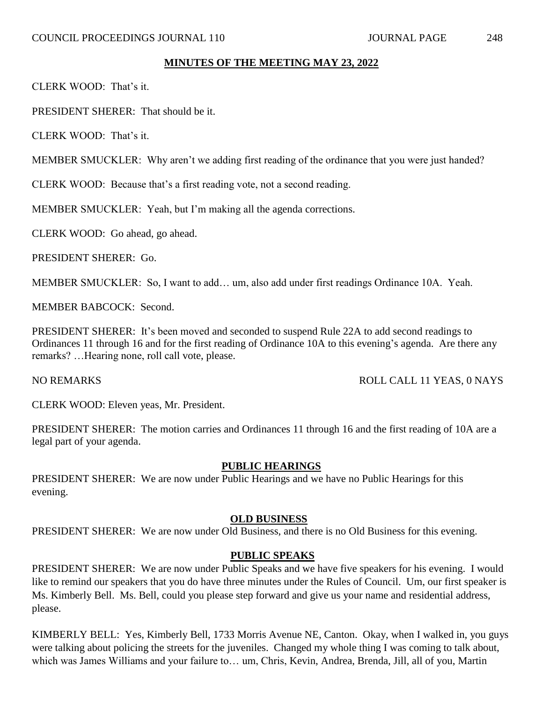CLERK WOOD: That's it.

PRESIDENT SHERER: That should be it.

CLERK WOOD: That's it.

MEMBER SMUCKLER: Why aren't we adding first reading of the ordinance that you were just handed?

CLERK WOOD: Because that's a first reading vote, not a second reading.

MEMBER SMUCKLER: Yeah, but I'm making all the agenda corrections.

CLERK WOOD: Go ahead, go ahead.

PRESIDENT SHERER: Go.

MEMBER SMUCKLER: So, I want to add… um, also add under first readings Ordinance 10A. Yeah.

MEMBER BABCOCK: Second.

PRESIDENT SHERER: It's been moved and seconded to suspend Rule 22A to add second readings to Ordinances 11 through 16 and for the first reading of Ordinance 10A to this evening's agenda. Are there any remarks? …Hearing none, roll call vote, please.

NO REMARKS ROLL CALL 11 YEAS, 0 NAYS

CLERK WOOD: Eleven yeas, Mr. President.

PRESIDENT SHERER: The motion carries and Ordinances 11 through 16 and the first reading of 10A are a legal part of your agenda.

## **PUBLIC HEARINGS**

PRESIDENT SHERER: We are now under Public Hearings and we have no Public Hearings for this evening.

## **OLD BUSINESS**

PRESIDENT SHERER: We are now under Old Business, and there is no Old Business for this evening.

# **PUBLIC SPEAKS**

PRESIDENT SHERER: We are now under Public Speaks and we have five speakers for his evening. I would like to remind our speakers that you do have three minutes under the Rules of Council. Um, our first speaker is Ms. Kimberly Bell. Ms. Bell, could you please step forward and give us your name and residential address, please.

KIMBERLY BELL: Yes, Kimberly Bell, 1733 Morris Avenue NE, Canton. Okay, when I walked in, you guys were talking about policing the streets for the juveniles. Changed my whole thing I was coming to talk about, which was James Williams and your failure to… um, Chris, Kevin, Andrea, Brenda, Jill, all of you, Martin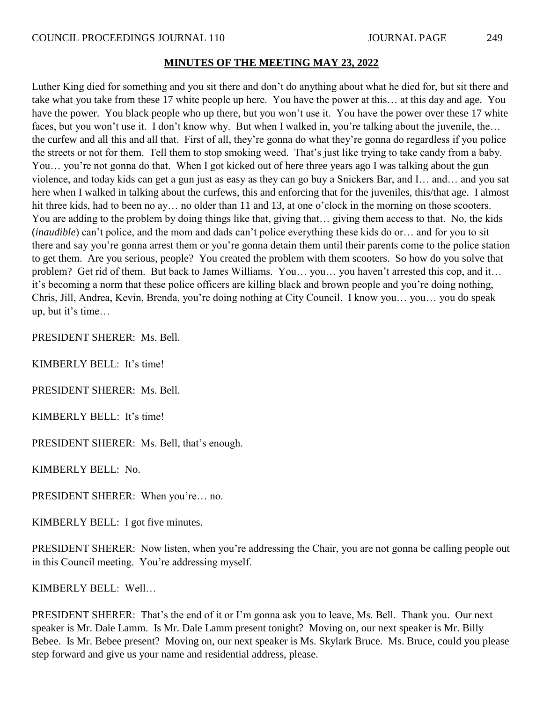Luther King died for something and you sit there and don't do anything about what he died for, but sit there and take what you take from these 17 white people up here. You have the power at this… at this day and age. You have the power. You black people who up there, but you won't use it. You have the power over these 17 white faces, but you won't use it. I don't know why. But when I walked in, you're talking about the juvenile, the... the curfew and all this and all that. First of all, they're gonna do what they're gonna do regardless if you police the streets or not for them. Tell them to stop smoking weed. That's just like trying to take candy from a baby. You… you're not gonna do that. When I got kicked out of here three years ago I was talking about the gun violence, and today kids can get a gun just as easy as they can go buy a Snickers Bar, and I… and… and you sat here when I walked in talking about the curfews, this and enforcing that for the juveniles, this/that age. I almost hit three kids, had to been no ay... no older than 11 and 13, at one o'clock in the morning on those scooters. You are adding to the problem by doing things like that, giving that… giving them access to that. No, the kids (*inaudible*) can't police, and the mom and dads can't police everything these kids do or… and for you to sit there and say you're gonna arrest them or you're gonna detain them until their parents come to the police station to get them. Are you serious, people? You created the problem with them scooters. So how do you solve that problem? Get rid of them. But back to James Williams. You... you... you haven't arrested this cop, and it... it's becoming a norm that these police officers are killing black and brown people and you're doing nothing, Chris, Jill, Andrea, Kevin, Brenda, you're doing nothing at City Council. I know you… you… you do speak up, but it's time…

PRESIDENT SHERER: Ms. Bell.

KIMBERLY BELL: It's time!

PRESIDENT SHERER: Ms. Bell.

KIMBERLY BELL: It's time!

PRESIDENT SHERER: Ms. Bell, that's enough.

KIMBERLY BELL: No.

PRESIDENT SHERER: When you're… no.

KIMBERLY BELL: I got five minutes.

PRESIDENT SHERER: Now listen, when you're addressing the Chair, you are not gonna be calling people out in this Council meeting. You're addressing myself.

KIMBERLY BELL: Well…

PRESIDENT SHERER: That's the end of it or I'm gonna ask you to leave, Ms. Bell. Thank you. Our next speaker is Mr. Dale Lamm. Is Mr. Dale Lamm present tonight? Moving on, our next speaker is Mr. Billy Bebee. Is Mr. Bebee present? Moving on, our next speaker is Ms. Skylark Bruce. Ms. Bruce, could you please step forward and give us your name and residential address, please.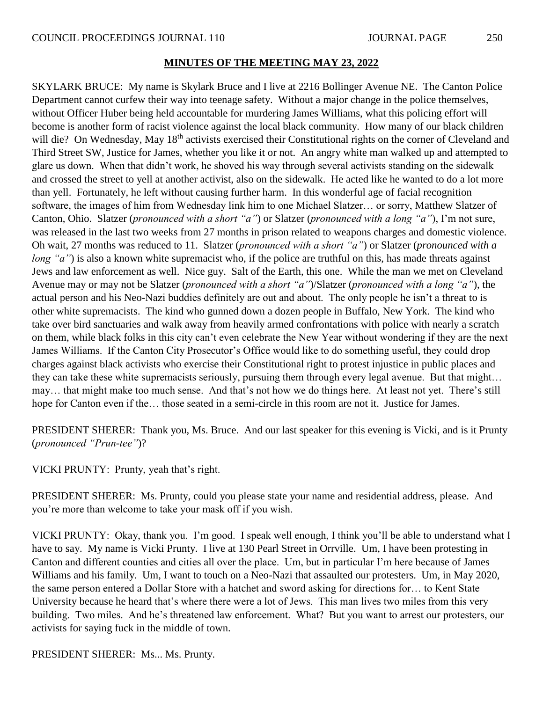SKYLARK BRUCE: My name is Skylark Bruce and I live at 2216 Bollinger Avenue NE. The Canton Police Department cannot curfew their way into teenage safety. Without a major change in the police themselves, without Officer Huber being held accountable for murdering James Williams, what this policing effort will become is another form of racist violence against the local black community. How many of our black children will die? On Wednesday, May 18<sup>th</sup> activists exercised their Constitutional rights on the corner of Cleveland and Third Street SW, Justice for James, whether you like it or not. An angry white man walked up and attempted to glare us down. When that didn't work, he shoved his way through several activists standing on the sidewalk and crossed the street to yell at another activist, also on the sidewalk. He acted like he wanted to do a lot more than yell. Fortunately, he left without causing further harm. In this wonderful age of facial recognition software, the images of him from Wednesday link him to one Michael Slatzer… or sorry, Matthew Slatzer of Canton, Ohio. Slatzer (*pronounced with a short "a"*) or Slatzer (*pronounced with a long "a"*), I'm not sure, was released in the last two weeks from 27 months in prison related to weapons charges and domestic violence. Oh wait, 27 months was reduced to 11. Slatzer (*pronounced with a short "a"*) or Slatzer (*pronounced with a long* "*a*") is also a known white supremacist who, if the police are truthful on this, has made threats against Jews and law enforcement as well. Nice guy. Salt of the Earth, this one. While the man we met on Cleveland Avenue may or may not be Slatzer (*pronounced with a short "a"*)/Slatzer (*pronounced with a long "a"*), the actual person and his Neo-Nazi buddies definitely are out and about. The only people he isn't a threat to is other white supremacists. The kind who gunned down a dozen people in Buffalo, New York. The kind who take over bird sanctuaries and walk away from heavily armed confrontations with police with nearly a scratch on them, while black folks in this city can't even celebrate the New Year without wondering if they are the next James Williams. If the Canton City Prosecutor's Office would like to do something useful, they could drop charges against black activists who exercise their Constitutional right to protest injustice in public places and they can take these white supremacists seriously, pursuing them through every legal avenue. But that might… may… that might make too much sense. And that's not how we do things here. At least not yet. There's still hope for Canton even if the... those seated in a semi-circle in this room are not it. Justice for James.

PRESIDENT SHERER: Thank you, Ms. Bruce. And our last speaker for this evening is Vicki, and is it Prunty (*pronounced "Prun-tee"*)?

VICKI PRUNTY: Prunty, yeah that's right.

PRESIDENT SHERER: Ms. Prunty, could you please state your name and residential address, please. And you're more than welcome to take your mask off if you wish.

VICKI PRUNTY: Okay, thank you. I'm good. I speak well enough, I think you'll be able to understand what I have to say. My name is Vicki Prunty. I live at 130 Pearl Street in Orrville. Um, I have been protesting in Canton and different counties and cities all over the place. Um, but in particular I'm here because of James Williams and his family. Um, I want to touch on a Neo-Nazi that assaulted our protesters. Um, in May 2020, the same person entered a Dollar Store with a hatchet and sword asking for directions for… to Kent State University because he heard that's where there were a lot of Jews. This man lives two miles from this very building. Two miles. And he's threatened law enforcement. What? But you want to arrest our protesters, our activists for saying fuck in the middle of town.

PRESIDENT SHERER: Ms... Ms. Prunty.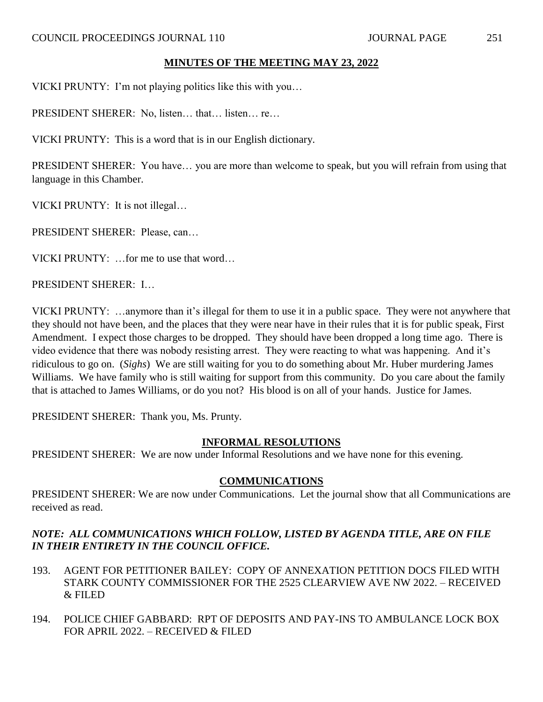VICKI PRUNTY: I'm not playing politics like this with you…

PRESIDENT SHERER: No, listen… that… listen… re…

VICKI PRUNTY: This is a word that is in our English dictionary.

PRESIDENT SHERER: You have… you are more than welcome to speak, but you will refrain from using that language in this Chamber.

VICKI PRUNTY: It is not illegal…

PRESIDENT SHERER: Please, can…

VICKI PRUNTY: …for me to use that word…

PRESIDENT SHERER: I…

VICKI PRUNTY: …anymore than it's illegal for them to use it in a public space. They were not anywhere that they should not have been, and the places that they were near have in their rules that it is for public speak, First Amendment. I expect those charges to be dropped. They should have been dropped a long time ago. There is video evidence that there was nobody resisting arrest. They were reacting to what was happening. And it's ridiculous to go on. (*Sighs*) We are still waiting for you to do something about Mr. Huber murdering James Williams. We have family who is still waiting for support from this community. Do you care about the family that is attached to James Williams, or do you not? His blood is on all of your hands. Justice for James.

PRESIDENT SHERER: Thank you, Ms. Prunty.

## **INFORMAL RESOLUTIONS**

PRESIDENT SHERER: We are now under Informal Resolutions and we have none for this evening.

## **COMMUNICATIONS**

PRESIDENT SHERER: We are now under Communications. Let the journal show that all Communications are received as read.

# *NOTE: ALL COMMUNICATIONS WHICH FOLLOW, LISTED BY AGENDA TITLE, ARE ON FILE IN THEIR ENTIRETY IN THE COUNCIL OFFICE.*

- 193. AGENT FOR PETITIONER BAILEY: COPY OF ANNEXATION PETITION DOCS FILED WITH STARK COUNTY COMMISSIONER FOR THE 2525 CLEARVIEW AVE NW 2022. – RECEIVED & FILED
- 194. POLICE CHIEF GABBARD: RPT OF DEPOSITS AND PAY-INS TO AMBULANCE LOCK BOX FOR APRIL 2022. – RECEIVED  $&$  FILED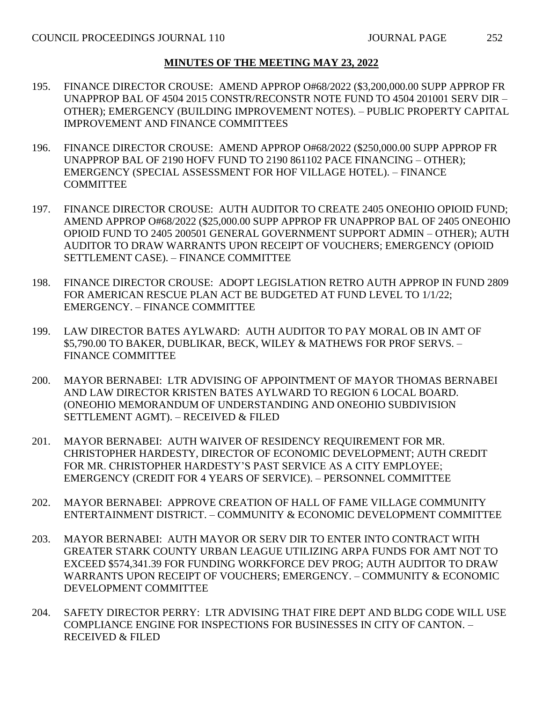- 195. FINANCE DIRECTOR CROUSE: AMEND APPROP O#68/2022 (\$3,200,000.00 SUPP APPROP FR UNAPPROP BAL OF 4504 2015 CONSTR/RECONSTR NOTE FUND TO 4504 201001 SERV DIR – OTHER); EMERGENCY (BUILDING IMPROVEMENT NOTES). – PUBLIC PROPERTY CAPITAL IMPROVEMENT AND FINANCE COMMITTEES
- 196. FINANCE DIRECTOR CROUSE: AMEND APPROP O#68/2022 (\$250,000.00 SUPP APPROP FR UNAPPROP BAL OF 2190 HOFV FUND TO 2190 861102 PACE FINANCING – OTHER); EMERGENCY (SPECIAL ASSESSMENT FOR HOF VILLAGE HOTEL). – FINANCE **COMMITTEE**
- 197. FINANCE DIRECTOR CROUSE: AUTH AUDITOR TO CREATE 2405 ONEOHIO OPIOID FUND; AMEND APPROP O#68/2022 (\$25,000.00 SUPP APPROP FR UNAPPROP BAL OF 2405 ONEOHIO OPIOID FUND TO 2405 200501 GENERAL GOVERNMENT SUPPORT ADMIN – OTHER); AUTH AUDITOR TO DRAW WARRANTS UPON RECEIPT OF VOUCHERS; EMERGENCY (OPIOID SETTLEMENT CASE). – FINANCE COMMITTEE
- 198. FINANCE DIRECTOR CROUSE: ADOPT LEGISLATION RETRO AUTH APPROP IN FUND 2809 FOR AMERICAN RESCUE PLAN ACT BE BUDGETED AT FUND LEVEL TO  $1/1/22$ ; EMERGENCY. – FINANCE COMMITTEE
- 199. LAW DIRECTOR BATES AYLWARD: AUTH AUDITOR TO PAY MORAL OB IN AMT OF \$5,790.00 TO BAKER, DUBLIKAR, BECK, WILEY & MATHEWS FOR PROF SERVS. – FINANCE COMMITTEE
- 200. MAYOR BERNABEI: LTR ADVISING OF APPOINTMENT OF MAYOR THOMAS BERNABEI AND LAW DIRECTOR KRISTEN BATES AYLWARD TO REGION 6 LOCAL BOARD. (ONEOHIO MEMORANDUM OF UNDERSTANDING AND ONEOHIO SUBDIVISION SETTLEMENT AGMT). – RECEIVED & FILED
- 201. MAYOR BERNABEI: AUTH WAIVER OF RESIDENCY REQUIREMENT FOR MR. CHRISTOPHER HARDESTY, DIRECTOR OF ECONOMIC DEVELOPMENT; AUTH CREDIT FOR MR. CHRISTOPHER HARDESTY'S PAST SERVICE AS A CITY EMPLOYEE; EMERGENCY (CREDIT FOR 4 YEARS OF SERVICE). – PERSONNEL COMMITTEE
- 202. MAYOR BERNABEI: APPROVE CREATION OF HALL OF FAME VILLAGE COMMUNITY ENTERTAINMENT DISTRICT. – COMMUNITY & ECONOMIC DEVELOPMENT COMMITTEE
- 203. MAYOR BERNABEI: AUTH MAYOR OR SERV DIR TO ENTER INTO CONTRACT WITH GREATER STARK COUNTY URBAN LEAGUE UTILIZING ARPA FUNDS FOR AMT NOT TO EXCEED \$574,341.39 FOR FUNDING WORKFORCE DEV PROG; AUTH AUDITOR TO DRAW WARRANTS UPON RECEIPT OF VOUCHERS; EMERGENCY. – COMMUNITY & ECONOMIC DEVELOPMENT COMMITTEE
- 204. SAFETY DIRECTOR PERRY: LTR ADVISING THAT FIRE DEPT AND BLDG CODE WILL USE COMPLIANCE ENGINE FOR INSPECTIONS FOR BUSINESSES IN CITY OF CANTON. – RECEIVED & FILED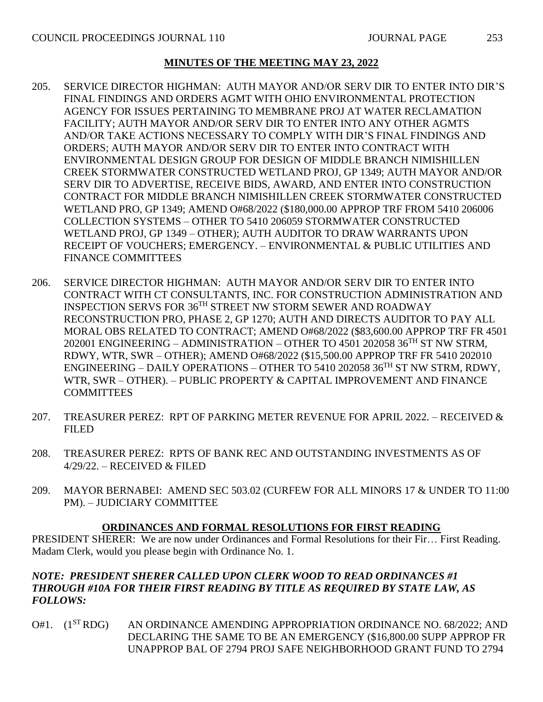- 205. SERVICE DIRECTOR HIGHMAN: AUTH MAYOR AND/OR SERV DIR TO ENTER INTO DIR'S FINAL FINDINGS AND ORDERS AGMT WITH OHIO ENVIRONMENTAL PROTECTION AGENCY FOR ISSUES PERTAINING TO MEMBRANE PROJ AT WATER RECLAMATION FACILITY; AUTH MAYOR AND/OR SERV DIR TO ENTER INTO ANY OTHER AGMTS AND/OR TAKE ACTIONS NECESSARY TO COMPLY WITH DIR'S FINAL FINDINGS AND ORDERS; AUTH MAYOR AND/OR SERV DIR TO ENTER INTO CONTRACT WITH ENVIRONMENTAL DESIGN GROUP FOR DESIGN OF MIDDLE BRANCH NIMISHILLEN CREEK STORMWATER CONSTRUCTED WETLAND PROJ, GP 1349; AUTH MAYOR AND/OR SERV DIR TO ADVERTISE, RECEIVE BIDS, AWARD, AND ENTER INTO CONSTRUCTION CONTRACT FOR MIDDLE BRANCH NIMISHILLEN CREEK STORMWATER CONSTRUCTED WETLAND PRO, GP 1349; AMEND O#68/2022 (\$180,000.00 APPROP TRF FROM 5410 206006 COLLECTION SYSTEMS – OTHER TO 5410 206059 STORMWATER CONSTRUCTED WETLAND PROJ, GP 1349 – OTHER); AUTH AUDITOR TO DRAW WARRANTS UPON RECEIPT OF VOUCHERS; EMERGENCY. – ENVIRONMENTAL & PUBLIC UTILITIES AND FINANCE COMMITTEES
- 206. SERVICE DIRECTOR HIGHMAN: AUTH MAYOR AND/OR SERV DIR TO ENTER INTO CONTRACT WITH CT CONSULTANTS, INC. FOR CONSTRUCTION ADMINISTRATION AND INSPECTION SERVS FOR 36TH STREET NW STORM SEWER AND ROADWAY RECONSTRUCTION PRO, PHASE 2, GP 1270; AUTH AND DIRECTS AUDITOR TO PAY ALL MORAL OBS RELATED TO CONTRACT; AMEND O#68/2022 (\$83,600.00 APPROP TRF FR 4501 202001 ENGINEERING – ADMINISTRATION – OTHER TO 4501 202058  $36<sup>TH</sup>$  ST NW STRM, RDWY, WTR, SWR – OTHER); AMEND O#68/2022 (\$15,500.00 APPROP TRF FR 5410 202010 ENGINEERING – DAILY OPERATIONS – OTHER TO 5410 202058  $36<sup>TH</sup>$  ST NW STRM, RDWY, WTR, SWR – OTHER). – PUBLIC PROPERTY & CAPITAL IMPROVEMENT AND FINANCE **COMMITTEES**
- 207. TREASURER PEREZ: RPT OF PARKING METER REVENUE FOR APRIL 2022. RECEIVED & FILED
- 208. TREASURER PEREZ: RPTS OF BANK REC AND OUTSTANDING INVESTMENTS AS OF 4/29/22. – RECEIVED & FILED
- 209. MAYOR BERNABEI: AMEND SEC 503.02 (CURFEW FOR ALL MINORS 17 & UNDER TO 11:00 PM). – JUDICIARY COMMITTEE

# **ORDINANCES AND FORMAL RESOLUTIONS FOR FIRST READING**

PRESIDENT SHERER: We are now under Ordinances and Formal Resolutions for their Fir… First Reading. Madam Clerk, would you please begin with Ordinance No. 1.

# *NOTE: PRESIDENT SHERER CALLED UPON CLERK WOOD TO READ ORDINANCES #1 THROUGH #10A FOR THEIR FIRST READING BY TITLE AS REQUIRED BY STATE LAW, AS FOLLOWS:*

O#1. (1<sup>ST</sup> RDG) AN ORDINANCE AMENDING APPROPRIATION ORDINANCE NO. 68/2022; AND DECLARING THE SAME TO BE AN EMERGENCY (\$16,800.00 SUPP APPROP FR UNAPPROP BAL OF 2794 PROJ SAFE NEIGHBORHOOD GRANT FUND TO 2794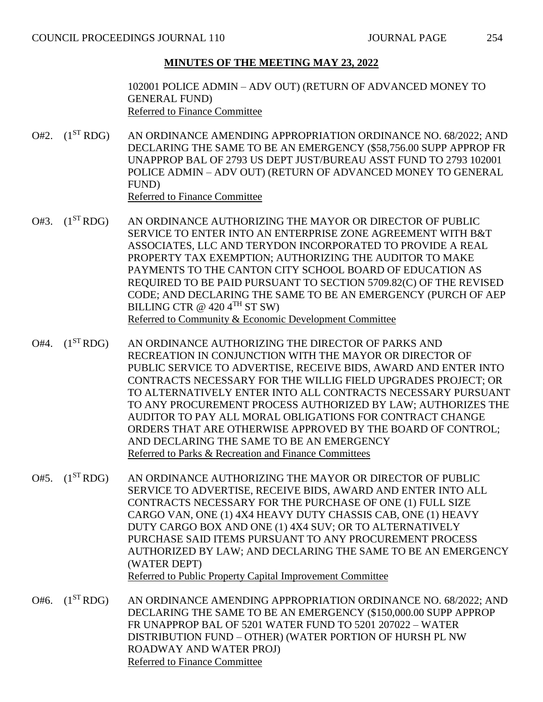102001 POLICE ADMIN – ADV OUT) (RETURN OF ADVANCED MONEY TO GENERAL FUND) Referred to Finance Committee

- O#2. (1<sup>ST</sup> RDG) AN ORDINANCE AMENDING APPROPRIATION ORDINANCE NO. 68/2022; AND DECLARING THE SAME TO BE AN EMERGENCY (\$58,756.00 SUPP APPROP FR UNAPPROP BAL OF 2793 US DEPT JUST/BUREAU ASST FUND TO 2793 102001 POLICE ADMIN – ADV OUT) (RETURN OF ADVANCED MONEY TO GENERAL FUND) Referred to Finance Committee
- $O#3.$  (1<sup>ST</sup>RDG) AN ORDINANCE AUTHORIZING THE MAYOR OR DIRECTOR OF PUBLIC SERVICE TO ENTER INTO AN ENTERPRISE ZONE AGREEMENT WITH B&T ASSOCIATES, LLC AND TERYDON INCORPORATED TO PROVIDE A REAL PROPERTY TAX EXEMPTION; AUTHORIZING THE AUDITOR TO MAKE PAYMENTS TO THE CANTON CITY SCHOOL BOARD OF EDUCATION AS REQUIRED TO BE PAID PURSUANT TO SECTION 5709.82(C) OF THE REVISED CODE; AND DECLARING THE SAME TO BE AN EMERGENCY (PURCH OF AEP BILLING CTR  $@$  420 4<sup>TH</sup> ST SW) Referred to Community & Economic Development Committee
- O#4. (1<sup>ST</sup> RDG) AN ORDINANCE AUTHORIZING THE DIRECTOR OF PARKS AND RECREATION IN CONJUNCTION WITH THE MAYOR OR DIRECTOR OF PUBLIC SERVICE TO ADVERTISE, RECEIVE BIDS, AWARD AND ENTER INTO CONTRACTS NECESSARY FOR THE WILLIG FIELD UPGRADES PROJECT; OR TO ALTERNATIVELY ENTER INTO ALL CONTRACTS NECESSARY PURSUANT TO ANY PROCUREMENT PROCESS AUTHORIZED BY LAW; AUTHORIZES THE AUDITOR TO PAY ALL MORAL OBLIGATIONS FOR CONTRACT CHANGE ORDERS THAT ARE OTHERWISE APPROVED BY THE BOARD OF CONTROL; AND DECLARING THE SAME TO BE AN EMERGENCY Referred to Parks & Recreation and Finance Committees
- O#5.  $(1^{ST}RDG)$  AN ORDINANCE AUTHORIZING THE MAYOR OR DIRECTOR OF PUBLIC SERVICE TO ADVERTISE, RECEIVE BIDS, AWARD AND ENTER INTO ALL CONTRACTS NECESSARY FOR THE PURCHASE OF ONE (1) FULL SIZE CARGO VAN, ONE (1) 4X4 HEAVY DUTY CHASSIS CAB, ONE (1) HEAVY DUTY CARGO BOX AND ONE (1) 4X4 SUV; OR TO ALTERNATIVELY PURCHASE SAID ITEMS PURSUANT TO ANY PROCUREMENT PROCESS AUTHORIZED BY LAW; AND DECLARING THE SAME TO BE AN EMERGENCY (WATER DEPT) Referred to Public Property Capital Improvement Committee
- O#6. (1<sup>ST</sup> RDG) AN ORDINANCE AMENDING APPROPRIATION ORDINANCE NO. 68/2022; AND DECLARING THE SAME TO BE AN EMERGENCY (\$150,000.00 SUPP APPROP FR UNAPPROP BAL OF 5201 WATER FUND TO 5201 207022 – WATER DISTRIBUTION FUND – OTHER) (WATER PORTION OF HURSH PL NW ROADWAY AND WATER PROJ) Referred to Finance Committee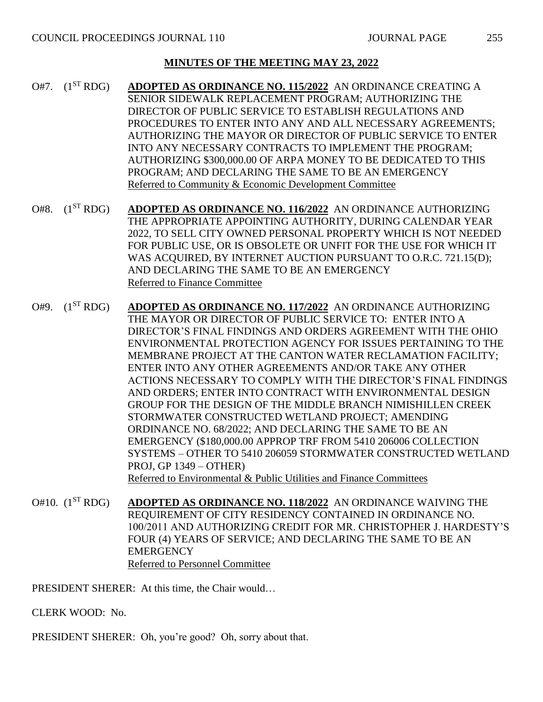- O#7. (1ST RDG) **ADOPTED AS ORDINANCE NO. 115/2022** AN ORDINANCE CREATING A SENIOR SIDEWALK REPLACEMENT PROGRAM; AUTHORIZING THE DIRECTOR OF PUBLIC SERVICE TO ESTABLISH REGULATIONS AND PROCEDURES TO ENTER INTO ANY AND ALL NECESSARY AGREEMENTS; AUTHORIZING THE MAYOR OR DIRECTOR OF PUBLIC SERVICE TO ENTER INTO ANY NECESSARY CONTRACTS TO IMPLEMENT THE PROGRAM; AUTHORIZING \$300,000.00 OF ARPA MONEY TO BE DEDICATED TO THIS PROGRAM; AND DECLARING THE SAME TO BE AN EMERGENCY Referred to Community & Economic Development Committee
- O#8. (1ST RDG) **ADOPTED AS ORDINANCE NO. 116/2022** AN ORDINANCE AUTHORIZING THE APPROPRIATE APPOINTING AUTHORITY, DURING CALENDAR YEAR 2022, TO SELL CITY OWNED PERSONAL PROPERTY WHICH IS NOT NEEDED FOR PUBLIC USE, OR IS OBSOLETE OR UNFIT FOR THE USE FOR WHICH IT WAS ACQUIRED, BY INTERNET AUCTION PURSUANT TO O.R.C. 721.15(D); AND DECLARING THE SAME TO BE AN EMERGENCY Referred to Finance Committee
- O#9. (1ST RDG) **ADOPTED AS ORDINANCE NO. 117/2022** AN ORDINANCE AUTHORIZING THE MAYOR OR DIRECTOR OF PUBLIC SERVICE TO: ENTER INTO A DIRECTOR'S FINAL FINDINGS AND ORDERS AGREEMENT WITH THE OHIO ENVIRONMENTAL PROTECTION AGENCY FOR ISSUES PERTAINING TO THE MEMBRANE PROJECT AT THE CANTON WATER RECLAMATION FACILITY; ENTER INTO ANY OTHER AGREEMENTS AND/OR TAKE ANY OTHER ACTIONS NECESSARY TO COMPLY WITH THE DIRECTOR'S FINAL FINDINGS AND ORDERS; ENTER INTO CONTRACT WITH ENVIRONMENTAL DESIGN GROUP FOR THE DESIGN OF THE MIDDLE BRANCH NIMISHILLEN CREEK STORMWATER CONSTRUCTED WETLAND PROJECT; AMENDING ORDINANCE NO. 68/2022; AND DECLARING THE SAME TO BE AN EMERGENCY (\$180,000.00 APPROP TRF FROM 5410 206006 COLLECTION SYSTEMS – OTHER TO 5410 206059 STORMWATER CONSTRUCTED WETLAND PROJ, GP 1349 – OTHER) Referred to Environmental & Public Utilities and Finance Committees
- O#10. (1ST RDG) **ADOPTED AS ORDINANCE NO. 118/2022** AN ORDINANCE WAIVING THE REQUIREMENT OF CITY RESIDENCY CONTAINED IN ORDINANCE NO. 100/2011 AND AUTHORIZING CREDIT FOR MR. CHRISTOPHER J. HARDESTY'S FOUR (4) YEARS OF SERVICE; AND DECLARING THE SAME TO BE AN **EMERGENCY** Referred to Personnel Committee

PRESIDENT SHERER: At this time, the Chair would…

CLERK WOOD: No.

PRESIDENT SHERER: Oh, you're good? Oh, sorry about that.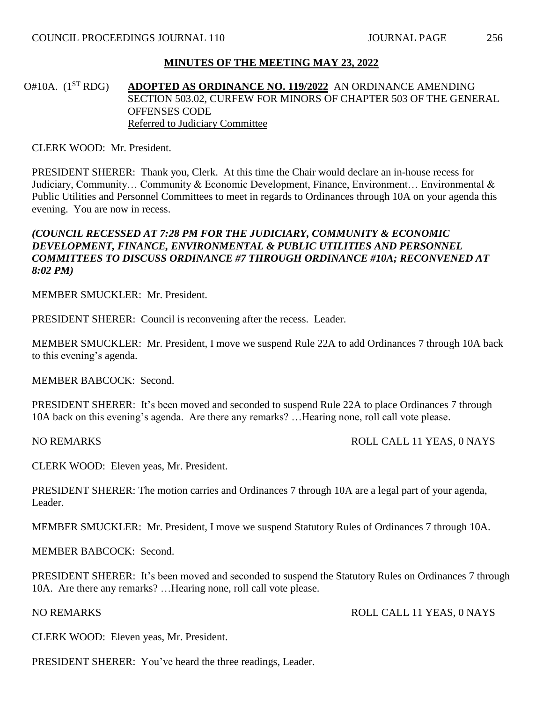O#10A. (1ST RDG) **ADOPTED AS ORDINANCE NO. 119/2022** AN ORDINANCE AMENDING SECTION 503.02, CURFEW FOR MINORS OF CHAPTER 503 OF THE GENERAL OFFENSES CODE Referred to Judiciary Committee

CLERK WOOD: Mr. President.

PRESIDENT SHERER: Thank you, Clerk. At this time the Chair would declare an in-house recess for Judiciary, Community… Community & Economic Development, Finance, Environment… Environmental & Public Utilities and Personnel Committees to meet in regards to Ordinances through 10A on your agenda this evening. You are now in recess.

# *(COUNCIL RECESSED AT 7:28 PM FOR THE JUDICIARY, COMMUNITY & ECONOMIC DEVELOPMENT, FINANCE, ENVIRONMENTAL & PUBLIC UTILITIES AND PERSONNEL COMMITTEES TO DISCUSS ORDINANCE #7 THROUGH ORDINANCE #10A; RECONVENED AT 8:02 PM)*

MEMBER SMUCKLER: Mr. President.

PRESIDENT SHERER: Council is reconvening after the recess. Leader.

MEMBER SMUCKLER: Mr. President, I move we suspend Rule 22A to add Ordinances 7 through 10A back to this evening's agenda.

MEMBER BABCOCK: Second.

PRESIDENT SHERER: It's been moved and seconded to suspend Rule 22A to place Ordinances 7 through 10A back on this evening's agenda. Are there any remarks? …Hearing none, roll call vote please.

NO REMARKS ROLL CALL 11 YEAS, 0 NAYS

CLERK WOOD: Eleven yeas, Mr. President.

PRESIDENT SHERER: The motion carries and Ordinances 7 through 10A are a legal part of your agenda, Leader.

MEMBER SMUCKLER: Mr. President, I move we suspend Statutory Rules of Ordinances 7 through 10A.

MEMBER BABCOCK: Second.

PRESIDENT SHERER: It's been moved and seconded to suspend the Statutory Rules on Ordinances 7 through 10A. Are there any remarks? …Hearing none, roll call vote please.

NO REMARKS ROLL CALL 11 YEAS, 0 NAYS

CLERK WOOD: Eleven yeas, Mr. President.

PRESIDENT SHERER: You've heard the three readings, Leader.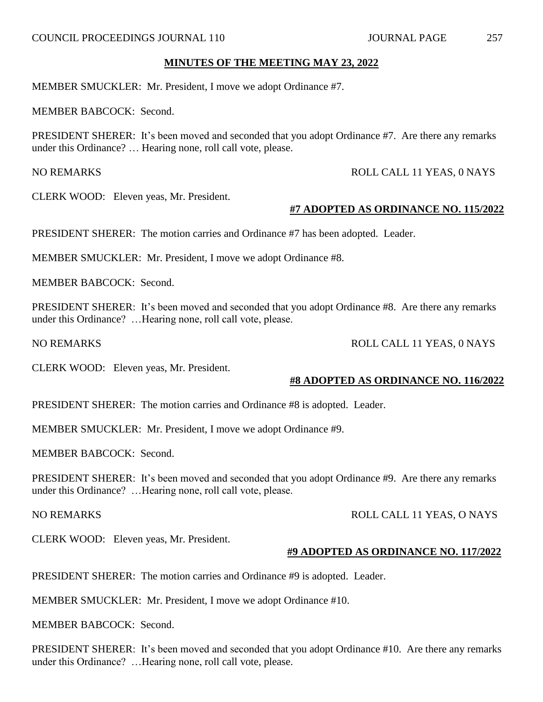MEMBER SMUCKLER: Mr. President, I move we adopt Ordinance #7.

MEMBER BABCOCK: Second.

PRESIDENT SHERER: It's been moved and seconded that you adopt Ordinance #7. Are there any remarks under this Ordinance? … Hearing none, roll call vote, please.

CLERK WOOD: Eleven yeas, Mr. President.

#### **#7 ADOPTED AS ORDINANCE NO. 115/2022**

PRESIDENT SHERER: The motion carries and Ordinance #7 has been adopted. Leader.

MEMBER SMUCKLER: Mr. President, I move we adopt Ordinance #8.

MEMBER BABCOCK: Second.

PRESIDENT SHERER: It's been moved and seconded that you adopt Ordinance #8. Are there any remarks under this Ordinance? …Hearing none, roll call vote, please.

CLERK WOOD: Eleven yeas, Mr. President.

## **#8 ADOPTED AS ORDINANCE NO. 116/2022**

PRESIDENT SHERER: The motion carries and Ordinance #8 is adopted. Leader.

MEMBER SMUCKLER: Mr. President, I move we adopt Ordinance #9.

MEMBER BABCOCK: Second.

PRESIDENT SHERER: It's been moved and seconded that you adopt Ordinance #9. Are there any remarks under this Ordinance? …Hearing none, roll call vote, please.

CLERK WOOD: Eleven yeas, Mr. President.

## **#9 ADOPTED AS ORDINANCE NO. 117/2022**

PRESIDENT SHERER: The motion carries and Ordinance #9 is adopted. Leader.

MEMBER SMUCKLER: Mr. President, I move we adopt Ordinance #10.

MEMBER BABCOCK: Second.

PRESIDENT SHERER: It's been moved and seconded that you adopt Ordinance #10. Are there any remarks under this Ordinance? …Hearing none, roll call vote, please.

# NO REMARKS ROLL CALL 11 YEAS, 0 NAYS

NO REMARKS ROLL CALL 11 YEAS, 0 NAYS

# NO REMARKS ROLL CALL 11 YEAS, O NAYS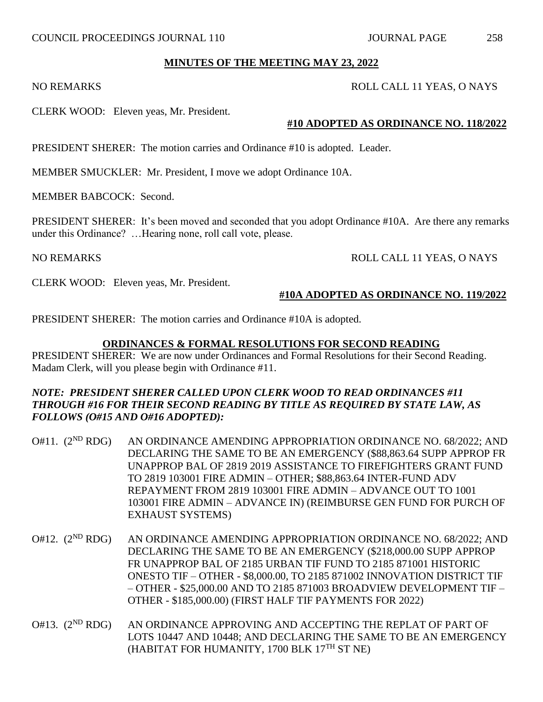CLERK WOOD: Eleven yeas, Mr. President.

PRESIDENT SHERER: The motion carries and Ordinance #10 is adopted. Leader.

MEMBER SMUCKLER: Mr. President, I move we adopt Ordinance 10A.

MEMBER BABCOCK: Second.

PRESIDENT SHERER: It's been moved and seconded that you adopt Ordinance #10A. Are there any remarks under this Ordinance? …Hearing none, roll call vote, please.

NO REMARKS ROLL CALL 11 YEAS, O NAYS

CLERK WOOD: Eleven yeas, Mr. President.

# **#10A ADOPTED AS ORDINANCE NO. 119/2022**

PRESIDENT SHERER: The motion carries and Ordinance #10A is adopted.

#### **ORDINANCES & FORMAL RESOLUTIONS FOR SECOND READING**

PRESIDENT SHERER: We are now under Ordinances and Formal Resolutions for their Second Reading. Madam Clerk, will you please begin with Ordinance #11.

# *NOTE: PRESIDENT SHERER CALLED UPON CLERK WOOD TO READ ORDINANCES #11 THROUGH #16 FOR THEIR SECOND READING BY TITLE AS REQUIRED BY STATE LAW, AS FOLLOWS (O#15 AND O#16 ADOPTED):*

- $O#11.$   $(2^{ND} RDG)$ AN ORDINANCE AMENDING APPROPRIATION ORDINANCE NO. 68/2022; AND DECLARING THE SAME TO BE AN EMERGENCY (\$88,863.64 SUPP APPROP FR UNAPPROP BAL OF 2819 2019 ASSISTANCE TO FIREFIGHTERS GRANT FUND TO 2819 103001 FIRE ADMIN – OTHER; \$88,863.64 INTER-FUND ADV REPAYMENT FROM 2819 103001 FIRE ADMIN – ADVANCE OUT TO 1001 103001 FIRE ADMIN – ADVANCE IN) (REIMBURSE GEN FUND FOR PURCH OF EXHAUST SYSTEMS)
- O#12.  $(2^{ND} RDG)$ AN ORDINANCE AMENDING APPROPRIATION ORDINANCE NO. 68/2022; AND DECLARING THE SAME TO BE AN EMERGENCY (\$218,000.00 SUPP APPROP FR UNAPPROP BAL OF 2185 URBAN TIF FUND TO 2185 871001 HISTORIC ONESTO TIF – OTHER - \$8,000.00, TO 2185 871002 INNOVATION DISTRICT TIF – OTHER - \$25,000.00 AND TO 2185 871003 BROADVIEW DEVELOPMENT TIF – OTHER - \$185,000.00) (FIRST HALF TIF PAYMENTS FOR 2022)
- O#13.  $(2^{ND} RDG)$ AN ORDINANCE APPROVING AND ACCEPTING THE REPLAT OF PART OF LOTS 10447 AND 10448; AND DECLARING THE SAME TO BE AN EMERGENCY (HABITAT FOR HUMANITY, 1700 BLK 17TH ST NE)

# NO REMARKS ROLL CALL 11 YEAS, O NAYS

**#10 ADOPTED AS ORDINANCE NO. 118/2022**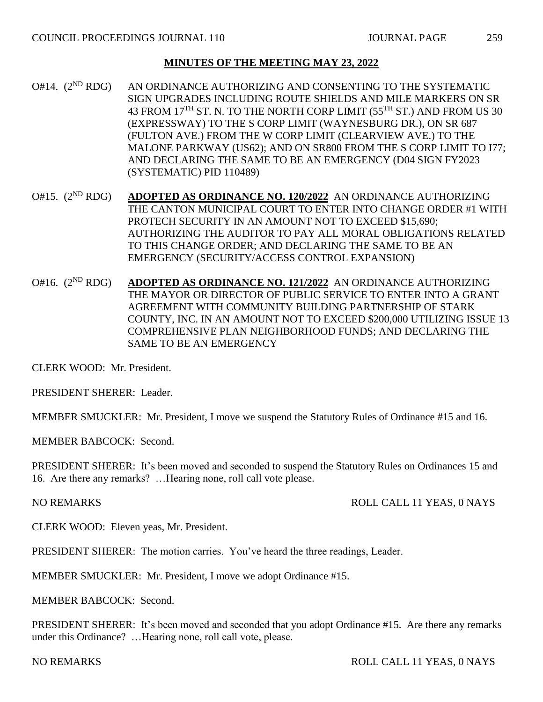- O#14.  $(2^{ND} RDG)$ AN ORDINANCE AUTHORIZING AND CONSENTING TO THE SYSTEMATIC SIGN UPGRADES INCLUDING ROUTE SHIELDS AND MILE MARKERS ON SR 43 FROM 17<sup>TH</sup> ST. N. TO THE NORTH CORP LIMIT (55<sup>TH</sup> ST.) AND FROM US 30 (EXPRESSWAY) TO THE S CORP LIMIT (WAYNESBURG DR.), ON SR 687 (FULTON AVE.) FROM THE W CORP LIMIT (CLEARVIEW AVE.) TO THE MALONE PARKWAY (US62); AND ON SR800 FROM THE S CORP LIMIT TO I77; AND DECLARING THE SAME TO BE AN EMERGENCY (D04 SIGN FY2023 (SYSTEMATIC) PID 110489)
- O#15. (2<sup>ND</sup> RDG) **ADOPTED AS ORDINANCE NO. 120/2022** AN ORDINANCE AUTHORIZING THE CANTON MUNICIPAL COURT TO ENTER INTO CHANGE ORDER #1 WITH PROTECH SECURITY IN AN AMOUNT NOT TO EXCEED \$15,690; AUTHORIZING THE AUDITOR TO PAY ALL MORAL OBLIGATIONS RELATED TO THIS CHANGE ORDER; AND DECLARING THE SAME TO BE AN EMERGENCY (SECURITY/ACCESS CONTROL EXPANSION)
- O#16. (2ND RDG) **ADOPTED AS ORDINANCE NO. 121/2022** AN ORDINANCE AUTHORIZING THE MAYOR OR DIRECTOR OF PUBLIC SERVICE TO ENTER INTO A GRANT AGREEMENT WITH COMMUNITY BUILDING PARTNERSHIP OF STARK COUNTY, INC. IN AN AMOUNT NOT TO EXCEED \$200,000 UTILIZING ISSUE 13 COMPREHENSIVE PLAN NEIGHBORHOOD FUNDS; AND DECLARING THE SAME TO BE AN EMERGENCY

CLERK WOOD: Mr. President.

PRESIDENT SHERER: Leader.

MEMBER SMUCKLER: Mr. President, I move we suspend the Statutory Rules of Ordinance #15 and 16.

MEMBER BABCOCK: Second.

PRESIDENT SHERER: It's been moved and seconded to suspend the Statutory Rules on Ordinances 15 and 16. Are there any remarks? …Hearing none, roll call vote please.

NO REMARKS ROLL CALL 11 YEAS, 0 NAYS

CLERK WOOD: Eleven yeas, Mr. President.

PRESIDENT SHERER: The motion carries. You've heard the three readings, Leader.

MEMBER SMUCKLER: Mr. President, I move we adopt Ordinance #15.

MEMBER BABCOCK: Second.

PRESIDENT SHERER: It's been moved and seconded that you adopt Ordinance #15. Are there any remarks under this Ordinance? …Hearing none, roll call vote, please.

NO REMARKS ROLL CALL 11 YEAS, 0 NAYS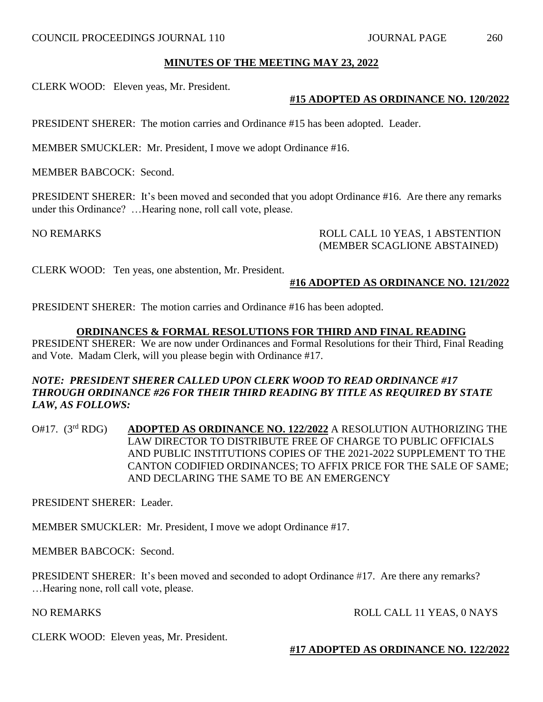CLERK WOOD: Eleven yeas, Mr. President.

### **#15 ADOPTED AS ORDINANCE NO. 120/2022**

PRESIDENT SHERER: The motion carries and Ordinance #15 has been adopted. Leader.

MEMBER SMUCKLER: Mr. President, I move we adopt Ordinance #16.

MEMBER BABCOCK: Second.

PRESIDENT SHERER: It's been moved and seconded that you adopt Ordinance #16. Are there any remarks under this Ordinance? …Hearing none, roll call vote, please.

NO REMARKS ROLL CALL 10 YEAS, 1 ABSTENTION (MEMBER SCAGLIONE ABSTAINED)

CLERK WOOD: Ten yeas, one abstention, Mr. President.

# **#16 ADOPTED AS ORDINANCE NO. 121/2022**

PRESIDENT SHERER: The motion carries and Ordinance #16 has been adopted.

#### **ORDINANCES & FORMAL RESOLUTIONS FOR THIRD AND FINAL READING**

PRESIDENT SHERER: We are now under Ordinances and Formal Resolutions for their Third, Final Reading and Vote. Madam Clerk, will you please begin with Ordinance #17.

## *NOTE: PRESIDENT SHERER CALLED UPON CLERK WOOD TO READ ORDINANCE #17 THROUGH ORDINANCE #26 FOR THEIR THIRD READING BY TITLE AS REQUIRED BY STATE LAW, AS FOLLOWS:*

O#17. (3rd RDG) **ADOPTED AS ORDINANCE NO. 122/2022** A RESOLUTION AUTHORIZING THE LAW DIRECTOR TO DISTRIBUTE FREE OF CHARGE TO PUBLIC OFFICIALS AND PUBLIC INSTITUTIONS COPIES OF THE 2021-2022 SUPPLEMENT TO THE CANTON CODIFIED ORDINANCES; TO AFFIX PRICE FOR THE SALE OF SAME; AND DECLARING THE SAME TO BE AN EMERGENCY

PRESIDENT SHERER: Leader.

MEMBER SMUCKLER: Mr. President, I move we adopt Ordinance #17.

MEMBER BABCOCK: Second.

PRESIDENT SHERER: It's been moved and seconded to adopt Ordinance #17. Are there any remarks? …Hearing none, roll call vote, please.

NO REMARKS ROLL CALL 11 YEAS, 0 NAYS

CLERK WOOD: Eleven yeas, Mr. President.

# **#17 ADOPTED AS ORDINANCE NO. 122/2022**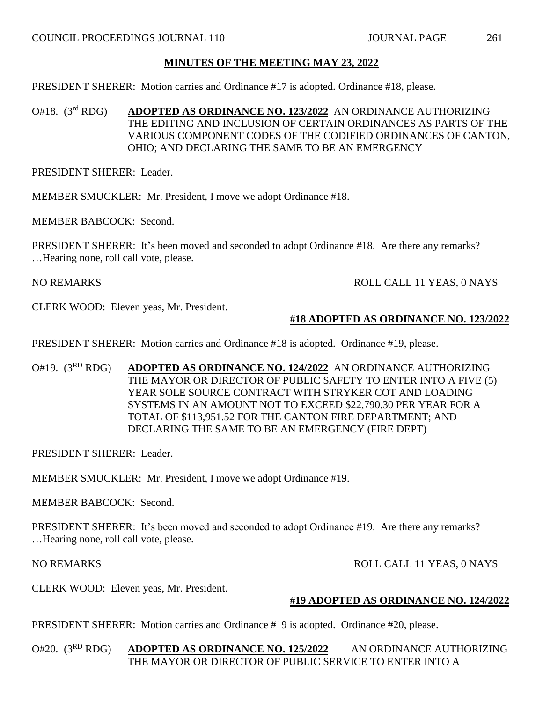PRESIDENT SHERER: Motion carries and Ordinance #17 is adopted. Ordinance #18, please.

O#18. (3rd RDG) **ADOPTED AS ORDINANCE NO. 123/2022** AN ORDINANCE AUTHORIZING THE EDITING AND INCLUSION OF CERTAIN ORDINANCES AS PARTS OF THE VARIOUS COMPONENT CODES OF THE CODIFIED ORDINANCES OF CANTON, OHIO; AND DECLARING THE SAME TO BE AN EMERGENCY

PRESIDENT SHERER: Leader.

MEMBER SMUCKLER: Mr. President, I move we adopt Ordinance #18.

MEMBER BABCOCK: Second.

PRESIDENT SHERER: It's been moved and seconded to adopt Ordinance #18. Are there any remarks? …Hearing none, roll call vote, please.

NO REMARKS ROLL CALL 11 YEAS, 0 NAYS

CLERK WOOD: Eleven yeas, Mr. President.

# **#18 ADOPTED AS ORDINANCE NO. 123/2022**

PRESIDENT SHERER: Motion carries and Ordinance #18 is adopted. Ordinance #19, please.

O#19. (3RD RDG) **ADOPTED AS ORDINANCE NO. 124/2022** AN ORDINANCE AUTHORIZING THE MAYOR OR DIRECTOR OF PUBLIC SAFETY TO ENTER INTO A FIVE (5) YEAR SOLE SOURCE CONTRACT WITH STRYKER COT AND LOADING SYSTEMS IN AN AMOUNT NOT TO EXCEED \$22,790.30 PER YEAR FOR A TOTAL OF \$113,951.52 FOR THE CANTON FIRE DEPARTMENT; AND DECLARING THE SAME TO BE AN EMERGENCY (FIRE DEPT)

PRESIDENT SHERER: Leader.

MEMBER SMUCKLER: Mr. President, I move we adopt Ordinance #19.

MEMBER BABCOCK: Second.

PRESIDENT SHERER: It's been moved and seconded to adopt Ordinance #19. Are there any remarks? …Hearing none, roll call vote, please.

NO REMARKS ROLL CALL 11 YEAS, 0 NAYS

CLERK WOOD: Eleven yeas, Mr. President.

# **#19 ADOPTED AS ORDINANCE NO. 124/2022**

PRESIDENT SHERER: Motion carries and Ordinance #19 is adopted. Ordinance #20, please.

O#20. (3RD RDG) **ADOPTED AS ORDINANCE NO. 125/2022** AN ORDINANCE AUTHORIZING THE MAYOR OR DIRECTOR OF PUBLIC SERVICE TO ENTER INTO A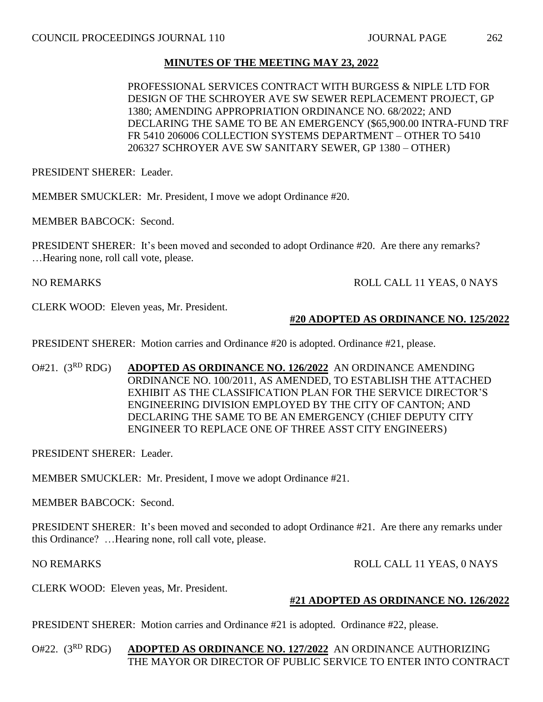PROFESSIONAL SERVICES CONTRACT WITH BURGESS & NIPLE LTD FOR DESIGN OF THE SCHROYER AVE SW SEWER REPLACEMENT PROJECT, GP 1380; AMENDING APPROPRIATION ORDINANCE NO. 68/2022; AND DECLARING THE SAME TO BE AN EMERGENCY (\$65,900.00 INTRA-FUND TRF FR 5410 206006 COLLECTION SYSTEMS DEPARTMENT – OTHER TO 5410 206327 SCHROYER AVE SW SANITARY SEWER, GP 1380 – OTHER)

PRESIDENT SHERER: Leader.

MEMBER SMUCKLER: Mr. President, I move we adopt Ordinance #20.

MEMBER BABCOCK: Second.

PRESIDENT SHERER: It's been moved and seconded to adopt Ordinance #20. Are there any remarks? …Hearing none, roll call vote, please.

NO REMARKS ROLL CALL 11 YEAS, 0 NAYS

CLERK WOOD: Eleven yeas, Mr. President.

# **#20 ADOPTED AS ORDINANCE NO. 125/2022**

PRESIDENT SHERER: Motion carries and Ordinance #20 is adopted. Ordinance #21, please.

O#21. (3RD RDG) **ADOPTED AS ORDINANCE NO. 126/2022** AN ORDINANCE AMENDING ORDINANCE NO. 100/2011, AS AMENDED, TO ESTABLISH THE ATTACHED EXHIBIT AS THE CLASSIFICATION PLAN FOR THE SERVICE DIRECTOR'S ENGINEERING DIVISION EMPLOYED BY THE CITY OF CANTON; AND DECLARING THE SAME TO BE AN EMERGENCY (CHIEF DEPUTY CITY ENGINEER TO REPLACE ONE OF THREE ASST CITY ENGINEERS)

PRESIDENT SHERER: Leader.

MEMBER SMUCKLER: Mr. President, I move we adopt Ordinance #21.

MEMBER BABCOCK: Second.

PRESIDENT SHERER: It's been moved and seconded to adopt Ordinance #21. Are there any remarks under this Ordinance? …Hearing none, roll call vote, please.

NO REMARKS ROLL CALL 11 YEAS, 0 NAYS

CLERK WOOD: Eleven yeas, Mr. President.

# **#21 ADOPTED AS ORDINANCE NO. 126/2022**

PRESIDENT SHERER: Motion carries and Ordinance #21 is adopted. Ordinance #22, please.

O#22. (3RD RDG) **ADOPTED AS ORDINANCE NO. 127/2022** AN ORDINANCE AUTHORIZING THE MAYOR OR DIRECTOR OF PUBLIC SERVICE TO ENTER INTO CONTRACT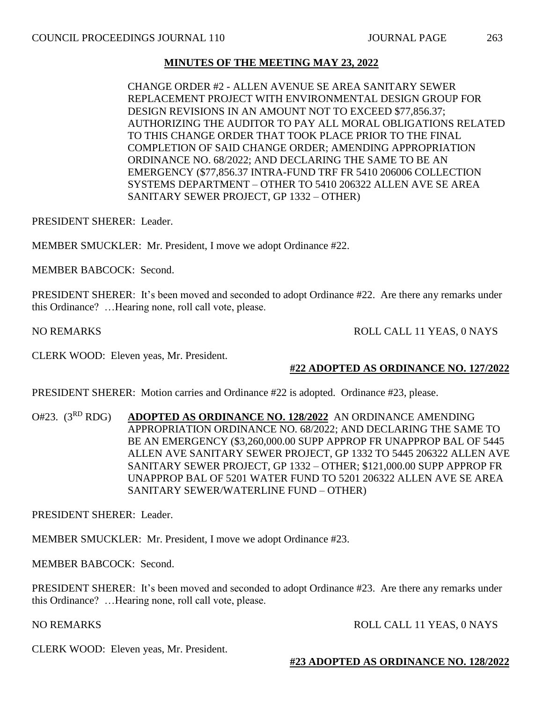CHANGE ORDER #2 - ALLEN AVENUE SE AREA SANITARY SEWER REPLACEMENT PROJECT WITH ENVIRONMENTAL DESIGN GROUP FOR DESIGN REVISIONS IN AN AMOUNT NOT TO EXCEED \$77,856.37; AUTHORIZING THE AUDITOR TO PAY ALL MORAL OBLIGATIONS RELATED TO THIS CHANGE ORDER THAT TOOK PLACE PRIOR TO THE FINAL COMPLETION OF SAID CHANGE ORDER; AMENDING APPROPRIATION ORDINANCE NO. 68/2022; AND DECLARING THE SAME TO BE AN EMERGENCY (\$77,856.37 INTRA-FUND TRF FR 5410 206006 COLLECTION SYSTEMS DEPARTMENT – OTHER TO 5410 206322 ALLEN AVE SE AREA SANITARY SEWER PROJECT, GP 1332 – OTHER)

PRESIDENT SHERER: Leader.

MEMBER SMUCKLER: Mr. President, I move we adopt Ordinance #22.

MEMBER BABCOCK: Second.

PRESIDENT SHERER: It's been moved and seconded to adopt Ordinance #22. Are there any remarks under this Ordinance? …Hearing none, roll call vote, please.

NO REMARKS ROLL CALL 11 YEAS, 0 NAYS

CLERK WOOD: Eleven yeas, Mr. President.

# **#22 ADOPTED AS ORDINANCE NO. 127/2022**

PRESIDENT SHERER: Motion carries and Ordinance #22 is adopted. Ordinance #23, please.

O#23. (3RD RDG) **ADOPTED AS ORDINANCE NO. 128/2022** AN ORDINANCE AMENDING APPROPRIATION ORDINANCE NO. 68/2022; AND DECLARING THE SAME TO BE AN EMERGENCY (\$3,260,000.00 SUPP APPROP FR UNAPPROP BAL OF 5445 ALLEN AVE SANITARY SEWER PROJECT, GP 1332 TO 5445 206322 ALLEN AVE SANITARY SEWER PROJECT, GP 1332 – OTHER; \$121,000.00 SUPP APPROP FR UNAPPROP BAL OF 5201 WATER FUND TO 5201 206322 ALLEN AVE SE AREA SANITARY SEWER/WATERLINE FUND – OTHER)

PRESIDENT SHERER: Leader.

MEMBER SMUCKLER: Mr. President, I move we adopt Ordinance #23.

MEMBER BABCOCK: Second.

PRESIDENT SHERER: It's been moved and seconded to adopt Ordinance #23. Are there any remarks under this Ordinance? …Hearing none, roll call vote, please.

NO REMARKS ROLL CALL 11 YEAS, 0 NAYS

CLERK WOOD: Eleven yeas, Mr. President.

# **#23 ADOPTED AS ORDINANCE NO. 128/2022**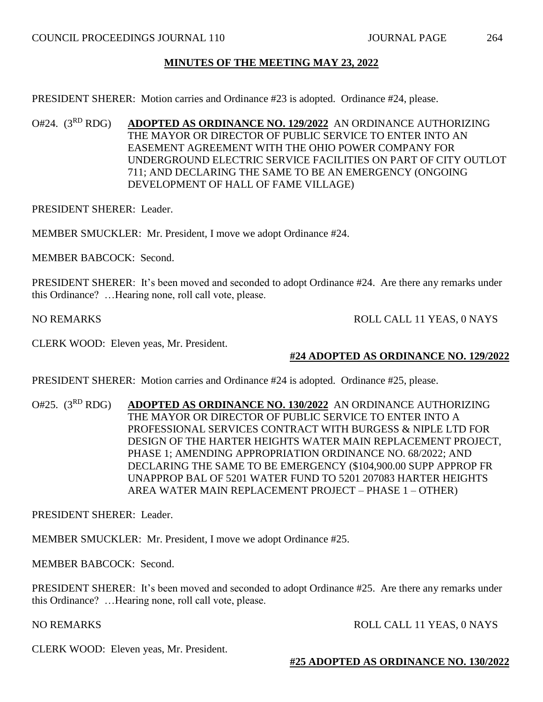PRESIDENT SHERER: Motion carries and Ordinance #23 is adopted. Ordinance #24, please.

O#24. (3RD RDG) **ADOPTED AS ORDINANCE NO. 129/2022** AN ORDINANCE AUTHORIZING THE MAYOR OR DIRECTOR OF PUBLIC SERVICE TO ENTER INTO AN EASEMENT AGREEMENT WITH THE OHIO POWER COMPANY FOR UNDERGROUND ELECTRIC SERVICE FACILITIES ON PART OF CITY OUTLOT 711; AND DECLARING THE SAME TO BE AN EMERGENCY (ONGOING DEVELOPMENT OF HALL OF FAME VILLAGE)

PRESIDENT SHERER: Leader.

MEMBER SMUCKLER: Mr. President, I move we adopt Ordinance #24.

MEMBER BABCOCK: Second.

PRESIDENT SHERER: It's been moved and seconded to adopt Ordinance #24. Are there any remarks under this Ordinance? …Hearing none, roll call vote, please.

NO REMARKS ROLL CALL 11 YEAS, 0 NAYS

CLERK WOOD: Eleven yeas, Mr. President.

## **#24 ADOPTED AS ORDINANCE NO. 129/2022**

PRESIDENT SHERER: Motion carries and Ordinance #24 is adopted. Ordinance #25, please.

O#25. (3RD RDG) **ADOPTED AS ORDINANCE NO. 130/2022** AN ORDINANCE AUTHORIZING THE MAYOR OR DIRECTOR OF PUBLIC SERVICE TO ENTER INTO A PROFESSIONAL SERVICES CONTRACT WITH BURGESS & NIPLE LTD FOR DESIGN OF THE HARTER HEIGHTS WATER MAIN REPLACEMENT PROJECT, PHASE 1; AMENDING APPROPRIATION ORDINANCE NO. 68/2022; AND DECLARING THE SAME TO BE EMERGENCY (\$104,900.00 SUPP APPROP FR UNAPPROP BAL OF 5201 WATER FUND TO 5201 207083 HARTER HEIGHTS AREA WATER MAIN REPLACEMENT PROJECT – PHASE 1 – OTHER)

PRESIDENT SHERER: Leader.

MEMBER SMUCKLER: Mr. President, I move we adopt Ordinance #25.

MEMBER BABCOCK: Second.

PRESIDENT SHERER: It's been moved and seconded to adopt Ordinance #25. Are there any remarks under this Ordinance? …Hearing none, roll call vote, please.

NO REMARKS ROLL CALL 11 YEAS, 0 NAYS

CLERK WOOD: Eleven yeas, Mr. President.

## **#25 ADOPTED AS ORDINANCE NO. 130/2022**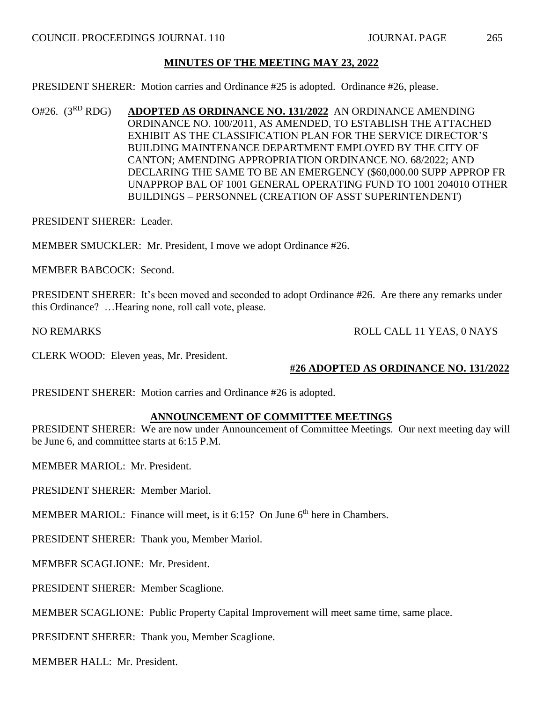PRESIDENT SHERER: Motion carries and Ordinance #25 is adopted. Ordinance #26, please.

O#26. (3RD RDG) **ADOPTED AS ORDINANCE NO. 131/2022** AN ORDINANCE AMENDING ORDINANCE NO. 100/2011, AS AMENDED, TO ESTABLISH THE ATTACHED EXHIBIT AS THE CLASSIFICATION PLAN FOR THE SERVICE DIRECTOR'S BUILDING MAINTENANCE DEPARTMENT EMPLOYED BY THE CITY OF CANTON; AMENDING APPROPRIATION ORDINANCE NO. 68/2022; AND DECLARING THE SAME TO BE AN EMERGENCY (\$60,000.00 SUPP APPROP FR UNAPPROP BAL OF 1001 GENERAL OPERATING FUND TO 1001 204010 OTHER BUILDINGS – PERSONNEL (CREATION OF ASST SUPERINTENDENT)

PRESIDENT SHERER: Leader.

MEMBER SMUCKLER: Mr. President, I move we adopt Ordinance #26.

MEMBER BABCOCK: Second.

PRESIDENT SHERER: It's been moved and seconded to adopt Ordinance #26. Are there any remarks under this Ordinance? …Hearing none, roll call vote, please.

NO REMARKS ROLL CALL 11 YEAS, 0 NAYS

CLERK WOOD: Eleven yeas, Mr. President.

# **#26 ADOPTED AS ORDINANCE NO. 131/2022**

PRESIDENT SHERER: Motion carries and Ordinance #26 is adopted.

## **ANNOUNCEMENT OF COMMITTEE MEETINGS**

PRESIDENT SHERER: We are now under Announcement of Committee Meetings. Our next meeting day will be June 6, and committee starts at 6:15 P.M.

MEMBER MARIOL: Mr. President.

PRESIDENT SHERER: Member Mariol.

MEMBER MARIOL: Finance will meet, is it  $6:15$ ? On June  $6<sup>th</sup>$  here in Chambers.

PRESIDENT SHERER: Thank you, Member Mariol.

MEMBER SCAGLIONE: Mr. President.

PRESIDENT SHERER: Member Scaglione.

MEMBER SCAGLIONE: Public Property Capital Improvement will meet same time, same place.

PRESIDENT SHERER: Thank you, Member Scaglione.

MEMBER HALL: Mr. President.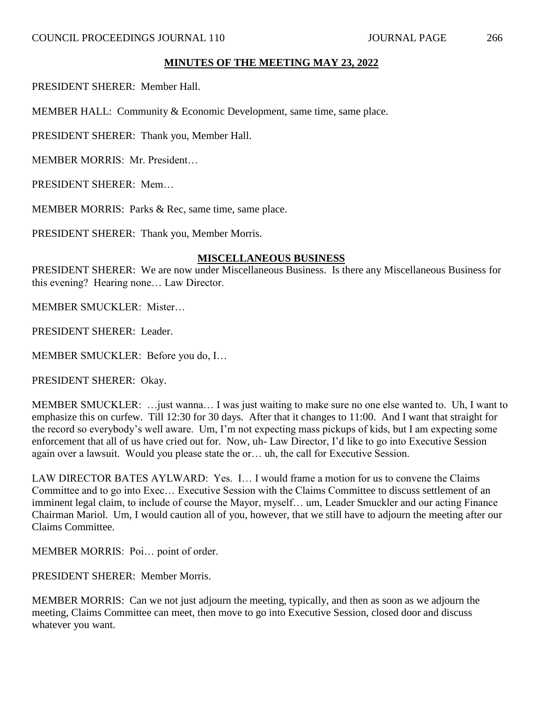PRESIDENT SHERER: Member Hall.

MEMBER HALL: Community & Economic Development, same time, same place.

PRESIDENT SHERER: Thank you, Member Hall.

MEMBER MORRIS: Mr. President…

PRESIDENT SHERER: Mem…

MEMBER MORRIS: Parks & Rec, same time, same place.

PRESIDENT SHERER: Thank you, Member Morris.

#### **MISCELLANEOUS BUSINESS**

PRESIDENT SHERER: We are now under Miscellaneous Business. Is there any Miscellaneous Business for this evening? Hearing none… Law Director.

MEMBER SMUCKLER: Mister…

PRESIDENT SHERER: Leader.

MEMBER SMUCKLER: Before you do, I…

PRESIDENT SHERER: Okay.

MEMBER SMUCKLER: …just wanna… I was just waiting to make sure no one else wanted to. Uh, I want to emphasize this on curfew. Till 12:30 for 30 days. After that it changes to 11:00. And I want that straight for the record so everybody's well aware. Um, I'm not expecting mass pickups of kids, but I am expecting some enforcement that all of us have cried out for. Now, uh- Law Director, I'd like to go into Executive Session again over a lawsuit. Would you please state the or… uh, the call for Executive Session.

LAW DIRECTOR BATES AYLWARD: Yes. I… I would frame a motion for us to convene the Claims Committee and to go into Exec… Executive Session with the Claims Committee to discuss settlement of an imminent legal claim, to include of course the Mayor, myself… um, Leader Smuckler and our acting Finance Chairman Mariol. Um, I would caution all of you, however, that we still have to adjourn the meeting after our Claims Committee.

MEMBER MORRIS: Poi… point of order.

PRESIDENT SHERER: Member Morris.

MEMBER MORRIS: Can we not just adjourn the meeting, typically, and then as soon as we adjourn the meeting, Claims Committee can meet, then move to go into Executive Session, closed door and discuss whatever you want.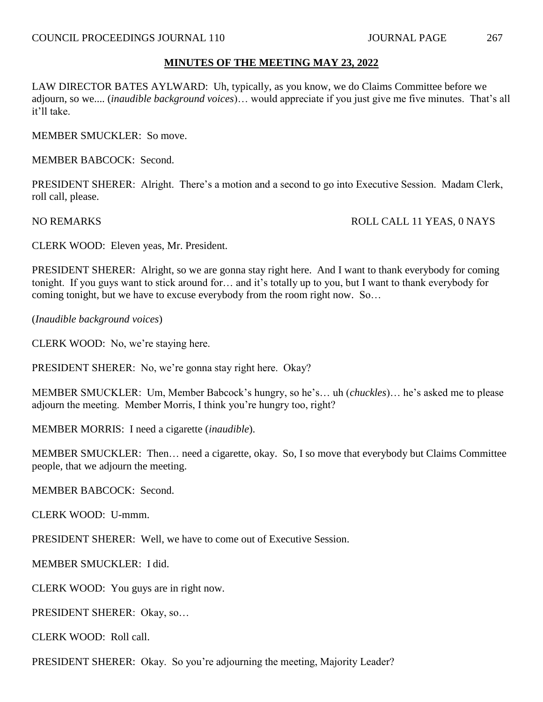LAW DIRECTOR BATES AYLWARD: Uh, typically, as you know, we do Claims Committee before we adjourn, so we.... (*inaudible background voices*)… would appreciate if you just give me five minutes. That's all it'll take.

MEMBER SMUCKLER: So move.

MEMBER BABCOCK: Second.

PRESIDENT SHERER: Alright. There's a motion and a second to go into Executive Session. Madam Clerk, roll call, please.

NO REMARKS ROLL CALL 11 YEAS, 0 NAYS

CLERK WOOD: Eleven yeas, Mr. President.

PRESIDENT SHERER: Alright, so we are gonna stay right here. And I want to thank everybody for coming tonight. If you guys want to stick around for… and it's totally up to you, but I want to thank everybody for coming tonight, but we have to excuse everybody from the room right now. So…

(*Inaudible background voices*)

CLERK WOOD: No, we're staying here.

PRESIDENT SHERER: No, we're gonna stay right here. Okay?

MEMBER SMUCKLER: Um, Member Babcock's hungry, so he's… uh (*chuckles*)… he's asked me to please adjourn the meeting. Member Morris, I think you're hungry too, right?

MEMBER MORRIS: I need a cigarette (*inaudible*).

MEMBER SMUCKLER: Then… need a cigarette, okay. So, I so move that everybody but Claims Committee people, that we adjourn the meeting.

MEMBER BABCOCK: Second.

CLERK WOOD: U-mmm.

PRESIDENT SHERER: Well, we have to come out of Executive Session.

MEMBER SMUCKLER: I did.

CLERK WOOD: You guys are in right now.

PRESIDENT SHERER: Okay, so…

CLERK WOOD: Roll call.

PRESIDENT SHERER: Okay. So you're adjourning the meeting, Majority Leader?